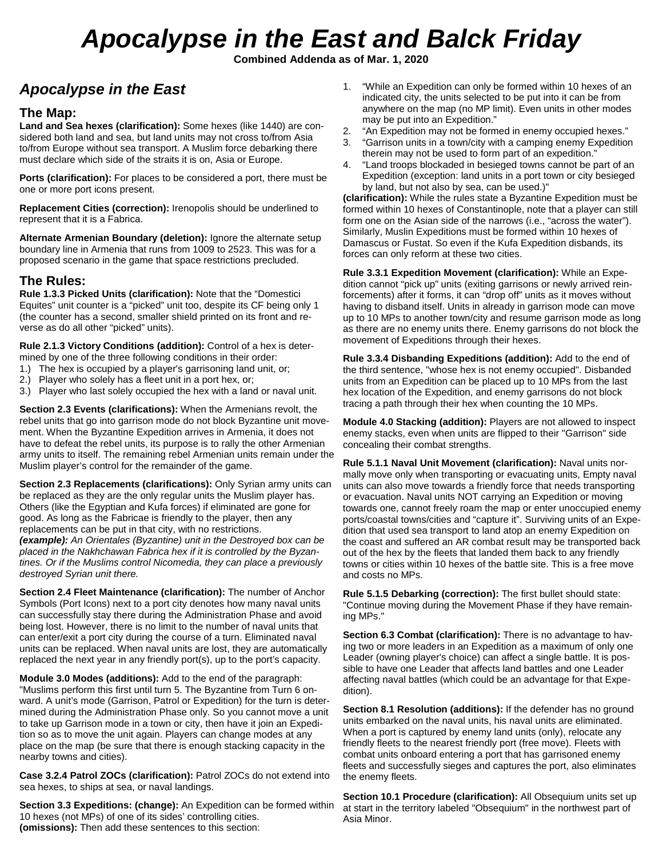# *Apocalypse in the East and Balck Friday*

**Combined Addenda as of Mar. 1, 2020**

# *Apocalypse in the East*

## **The Map:**

**Land and Sea hexes (clarification):** Some hexes (like 1440) are considered both land and sea, but land units may not cross to/from Asia to/from Europe without sea transport. A Muslim force debarking there must declare which side of the straits it is on, Asia or Europe.

**Ports (clarification):** For places to be considered a port, there must be one or more port icons present.

**Replacement Cities (correction):** Irenopolis should be underlined to represent that it is a Fabrica.

**Alternate Armenian Boundary (deletion):** Ignore the alternate setup boundary line in Armenia that runs from 1009 to 2523. This was for a proposed scenario in the game that space restrictions precluded.

### **The Rules:**

**Rule 1.3.3 Picked Units (clarification):** Note that the "Domestici Equites" unit counter is a "picked" unit too, despite its CF being only 1 (the counter has a second, smaller shield printed on its front and reverse as do all other "picked" units).

**Rule 2.1.3 Victory Conditions (addition):** Control of a hex is determined by one of the three following conditions in their order:

- 1.) The hex is occupied by a player's garrisoning land unit, or;
- 2.) Player who solely has a fleet unit in a port hex, or;
- 3.) Player who last solely occupied the hex with a land or naval unit.

**Section 2.3 Events (clarifications):** When the Armenians revolt, the rebel units that go into garrison mode do not block Byzantine unit movement. When the Byzantine Expedition arrives in Armenia, it does not have to defeat the rebel units, its purpose is to rally the other Armenian army units to itself. The remaining rebel Armenian units remain under the Muslim player's control for the remainder of the game.

**Section 2.3 Replacements (clarifications):** Only Syrian army units can be replaced as they are the only regular units the Muslim player has. Others (like the Egyptian and Kufa forces) if eliminated are gone for good. As long as the Fabricae is friendly to the player, then any replacements can be put in that city, with no restrictions. *(example): An Orientales (Byzantine) unit in the Destroyed box can be placed in the Nakhchawan Fabrica hex if it is controlled by the Byzantines. Or if the Muslims control Nicomedia, they can place a previously destroyed Syrian unit there.*

**Section 2.4 Fleet Maintenance (clarification):** The number of Anchor Symbols (Port Icons) next to a port city denotes how many naval units can successfully stay there during the Administration Phase and avoid being lost. However, there is no limit to the number of naval units that can enter/exit a port city during the course of a turn. Eliminated naval units can be replaced. When naval units are lost, they are automatically replaced the next year in any friendly port(s), up to the port's capacity.

**Module 3.0 Modes (additions):** Add to the end of the paragraph: "Muslims perform this first until turn 5. The Byzantine from Turn 6 onward. A unit's mode (Garrison, Patrol or Expedition) for the turn is determined during the Administration Phase only. So you cannot move a unit to take up Garrison mode in a town or city, then have it join an Expedition so as to move the unit again. Players can change modes at any place on the map (be sure that there is enough stacking capacity in the nearby towns and cities).

**Case 3.2.4 Patrol ZOCs (clarification):** Patrol ZOCs do not extend into sea hexes, to ships at sea, or naval landings.

**Section 3.3 Expeditions: (change):** An Expedition can be formed within 10 hexes (not MPs) of one of its sides' controlling cities. **(omissions):** Then add these sentences to this section:

- 1. "While an Expedition can only be formed within 10 hexes of an indicated city, the units selected to be put into it can be from anywhere on the map (no MP limit). Even units in other modes may be put into an Expedition."
- 2. "An Expedition may not be formed in enemy occupied hexes."
- 3. "Garrison units in a town/city with a camping enemy Expedition therein may not be used to form part of an expedition."
- 4. "Land troops blockaded in besieged towns cannot be part of an Expedition (exception: land units in a port town or city besieged by land, but not also by sea, can be used.)"

**(clarification):** While the rules state a Byzantine Expedition must be formed within 10 hexes of Constantinople, note that a player can still form one on the Asian side of the narrows (i.e., "across the water"). Similarly, Muslin Expeditions must be formed within 10 hexes of Damascus or Fustat. So even if the Kufa Expedition disbands, its forces can only reform at these two cities.

**Rule 3.3.1 Expedition Movement (clarification):** While an Expedition cannot "pick up" units (exiting garrisons or newly arrived reinforcements) after it forms, it can "drop off" units as it moves without having to disband itself. Units in already in garrison mode can move up to 10 MPs to another town/city and resume garrison mode as long as there are no enemy units there. Enemy garrisons do not block the movement of Expeditions through their hexes.

**Rule 3.3.4 Disbanding Expeditions (addition):** Add to the end of the third sentence, "whose hex is not enemy occupied". Disbanded units from an Expedition can be placed up to 10 MPs from the last hex location of the Expedition, and enemy garrisons do not block tracing a path through their hex when counting the 10 MPs.

**Module 4.0 Stacking (addition):** Players are not allowed to inspect enemy stacks, even when units are flipped to their "Garrison" side concealing their combat strengths.

**Rule 5.1.1 Naval Unit Movement (clarification):** Naval units normally move only when transporting or evacuating units, Empty naval units can also move towards a friendly force that needs transporting or evacuation. Naval units NOT carrying an Expedition or moving towards one, cannot freely roam the map or enter unoccupied enemy ports/coastal towns/cities and "capture it". Surviving units of an Expedition that used sea transport to land atop an enemy Expedition on the coast and suffered an AR combat result may be transported back out of the hex by the fleets that landed them back to any friendly towns or cities within 10 hexes of the battle site. This is a free move and costs no MPs.

**Rule 5.1.5 Debarking (correction):** The first bullet should state: "Continue moving during the Movement Phase if they have remaining MPs."

**Section 6.3 Combat (clarification):** There is no advantage to having two or more leaders in an Expedition as a maximum of only one Leader (owning player's choice) can affect a single battle. It is possible to have one Leader that affects land battles and one Leader affecting naval battles (which could be an advantage for that Expedition).

**Section 8.1 Resolution (additions):** If the defender has no ground units embarked on the naval units, his naval units are eliminated. When a port is captured by enemy land units (only), relocate any friendly fleets to the nearest friendly port (free move). Fleets with combat units onboard entering a port that has garrisoned enemy fleets and successfully sieges and captures the port, also eliminates the enemy fleets.

**Section 10.1 Procedure (clarification):** All Obsequium units set up at start in the territory labeled "Obsequium" in the northwest part of Asia Minor.